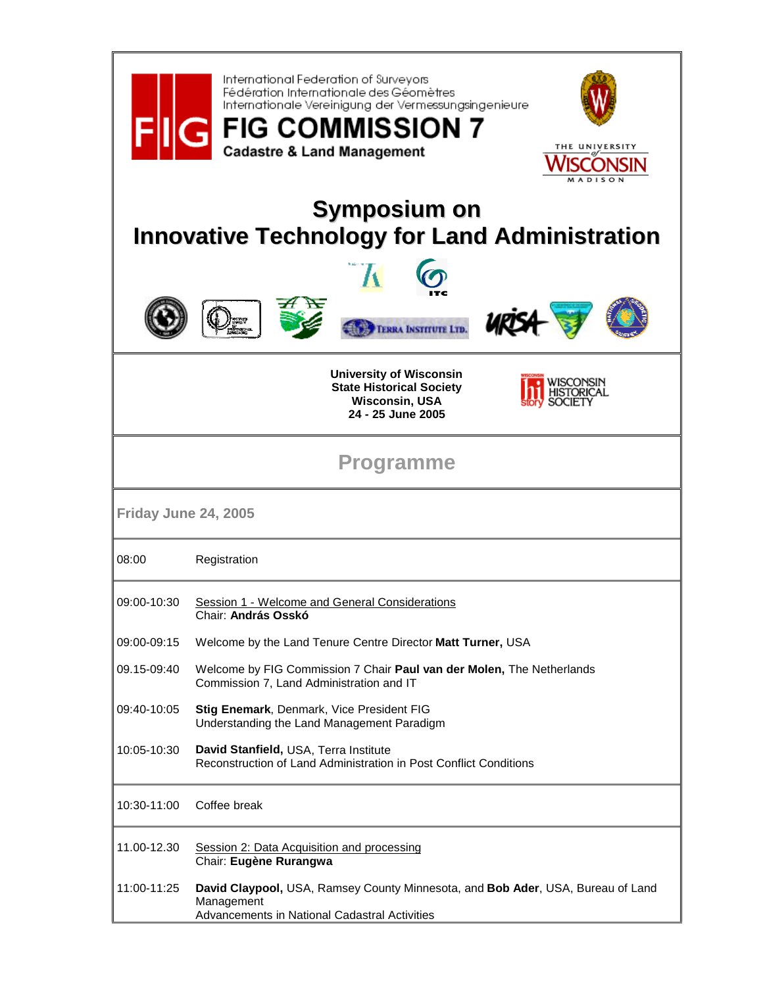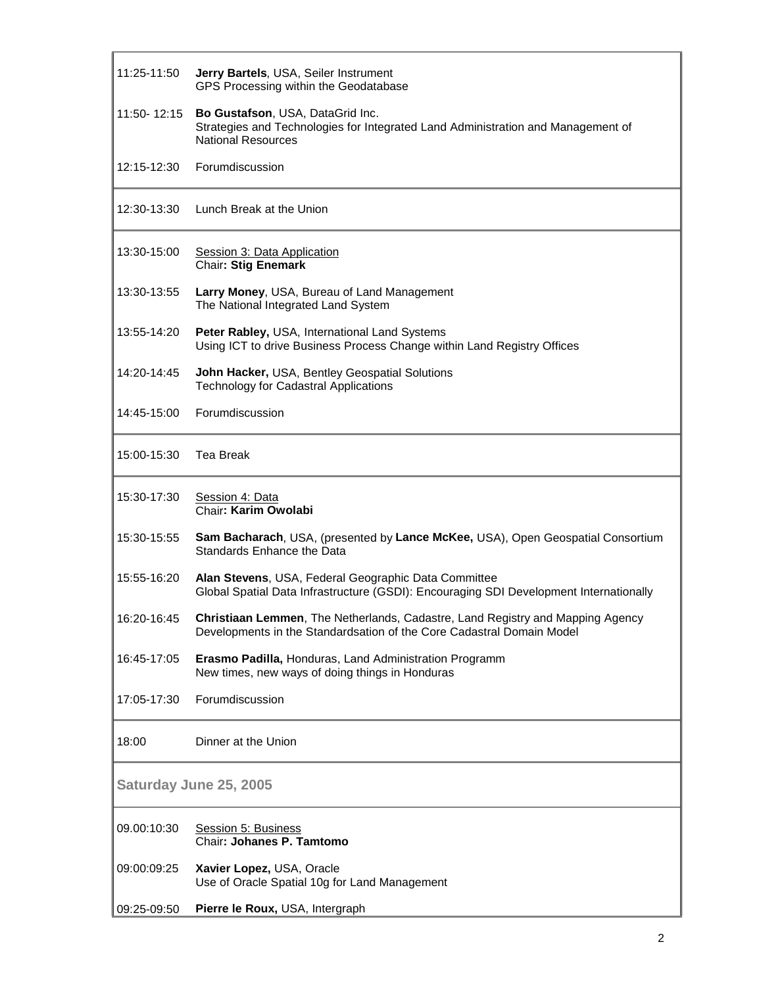| 11:25-11:50            | Jerry Bartels, USA, Seiler Instrument<br>GPS Processing within the Geodatabase                                                                                 |
|------------------------|----------------------------------------------------------------------------------------------------------------------------------------------------------------|
|                        | 11:50-12:15 Bo Gustafson, USA, DataGrid Inc.<br>Strategies and Technologies for Integrated Land Administration and Management of<br><b>National Resources</b>  |
| 12:15-12:30            | Forumdiscussion                                                                                                                                                |
| 12:30-13:30            | Lunch Break at the Union                                                                                                                                       |
| 13:30-15:00            | Session 3: Data Application<br><b>Chair: Stig Enemark</b>                                                                                                      |
| 13:30-13:55            | Larry Money, USA, Bureau of Land Management<br>The National Integrated Land System                                                                             |
| 13:55-14:20            | Peter Rabley, USA, International Land Systems<br>Using ICT to drive Business Process Change within Land Registry Offices                                       |
| 14:20-14:45            | John Hacker, USA, Bentley Geospatial Solutions<br><b>Technology for Cadastral Applications</b>                                                                 |
| 14:45-15:00            | Forumdiscussion                                                                                                                                                |
| 15:00-15:30            | <b>Tea Break</b>                                                                                                                                               |
| 15:30-17:30            | Session 4: Data<br>Chair: Karim Owolabi                                                                                                                        |
| 15:30-15:55            | Sam Bacharach, USA, (presented by Lance McKee, USA), Open Geospatial Consortium<br>Standards Enhance the Data                                                  |
| 15:55-16:20            | Alan Stevens, USA, Federal Geographic Data Committee<br>Global Spatial Data Infrastructure (GSDI): Encouraging SDI Development Internationally                 |
| 16:20-16:45            | <b>Christiaan Lemmen, The Netherlands, Cadastre, Land Registry and Mapping Agency</b><br>Developments in the Standardsation of the Core Cadastral Domain Model |
| 16:45-17:05            | Erasmo Padilla, Honduras, Land Administration Programm<br>New times, new ways of doing things in Honduras                                                      |
| 17:05-17:30            | Forumdiscussion                                                                                                                                                |
| 18:00                  | Dinner at the Union                                                                                                                                            |
| Saturday June 25, 2005 |                                                                                                                                                                |
| 09.00:10:30            | Session 5: Business<br>Chair: Johanes P. Tamtomo                                                                                                               |
| 09:00:09:25            | Xavier Lopez, USA, Oracle<br>Use of Oracle Spatial 10g for Land Management                                                                                     |
| 09:25-09:50            | Pierre le Roux, USA, Intergraph                                                                                                                                |